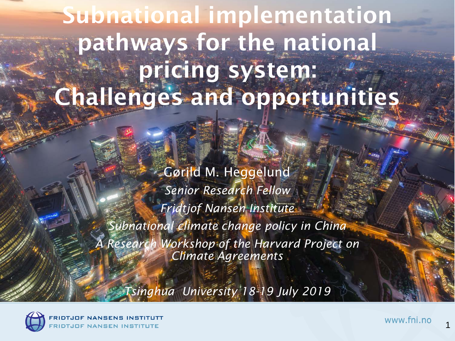### Subnational implementation pathways for the national pricing system: Challenges and opportunities

Gørild M. Heggelund *Senior Research Fellow Fridtjof Nansen Institute Subnational climate change policy in China A Research Workshop of the Harvard Project on Climate Agreements*

*Tsinghua University 18-19 July 2019*



1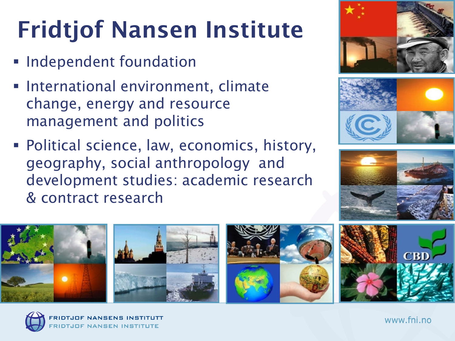## Fridtjof Nansen Institute

- **Independent foundation**
- **International environment, climate** change, energy and resource management and politics
- Political science, law, economics, history, geography, social anthropology and development studies: academic research & contract research











www.fni.no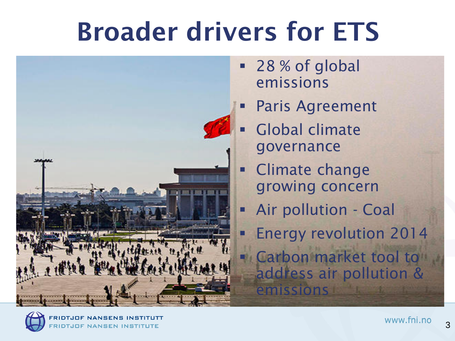## Broader drivers for ETS



- 28 % of global emissions
- Paris Agreement
- Global climate governance
- **Example 2** Climate change growing concern
- Air pollution Coal
- Energy revolution 2014 **Carbon market tool to** address air pollution & emissions

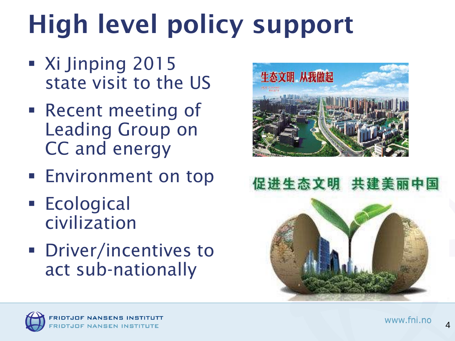# High level policy support

- Xi Jinping 2015 state visit to the US
- Recent meeting of Leading Group on CC and energy
- **Environment on top**
- **Ecological** civilization
- **Driver/incentives to** act sub-nationally







4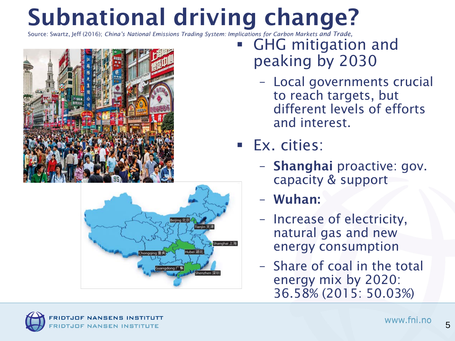### Subnational driving change?

Source: Swartz, Jeff (2016); *China's National Emissions Trading System: Implications for Carbon Markets and Trade,* 





- **GHG** mitigation and peaking by 2030
	- Local governments crucial to reach targets, but different levels of efforts and interest.
- Ex. cities:
	- Shanghai proactive: gov. capacity & support
	- Wuhan:
	- Increase of electricity, natural gas and new energy consumption
	- Share of coal in the total energy mix by 2020: 36.58% (2015: 50.03%)

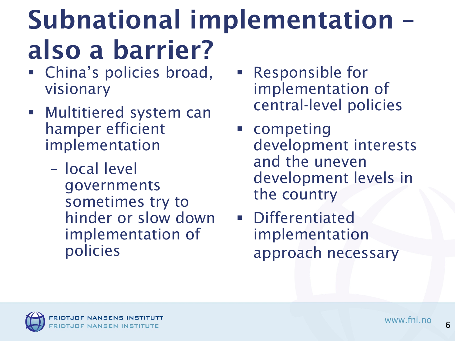## Subnational implementation – also a barrier?

- China's policies broad, visionary
- **Multitiered system can** hamper efficient implementation
	- local level governments sometimes try to hinder or slow down implementation of policies
- Responsible for implementation of central-level policies
- **Example Competing** development interests and the uneven development levels in the country
- Differentiated implementation approach necessary

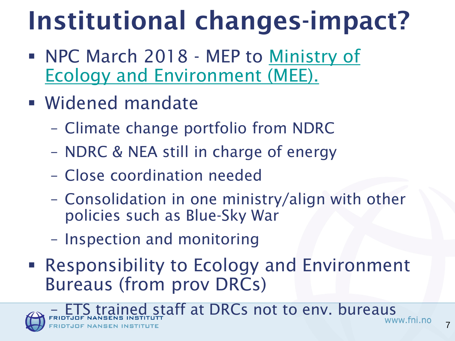# Institutional changes-impact?

- NPC March 2018 MEP to Ministry of [Ecology and Environment \(MEE\).](http://english.mep.gov.cn/News_service/media_news/201803/t20180314_432393.shtml)
- Widened mandate
	- Climate change portfolio from NDRC
	- NDRC & NEA still in charge of energy
	- Close coordination needed
	- Consolidation in one ministry/align with other policies such as Blue-Sky War
	- Inspection and monitoring
- Responsibility to Ecology and Environment Bureaus (from prov DRCs)

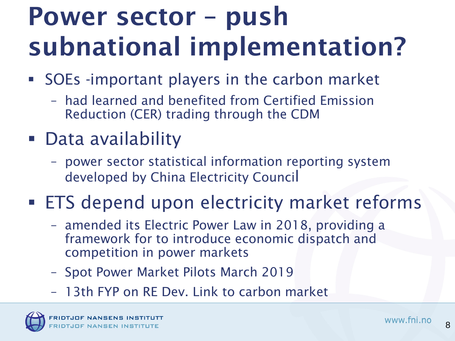## Power sector – push subnational implementation?

- SOEs -important players in the carbon market
	- had learned and benefited from Certified Emission Reduction (CER) trading through the CDM
- Data availability
	- power sector statistical information reporting system developed by China Electricity Council
- **ETS** depend upon electricity market reforms
	- amended its Electric Power Law in 2018, providing a framework for to introduce economic dispatch and competition in power markets
	- Spot Power Market Pilots March 2019
	- 13th FYP on RE Dev. Link to carbon market

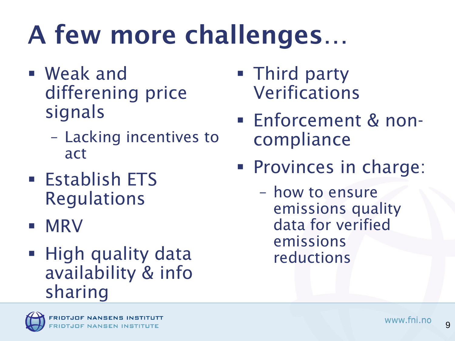# A few more challenges…

- Weak and differening price signals
	- Lacking incentives to act
- **Establish ETS** Regulations
- **MRV**
- High quality data availability & info sharing
- **Third party** Verifications
- Enforcement & noncompliance
- **Provinces in charge:** 
	- how to ensure emissions quality data for verified emissions reductions



9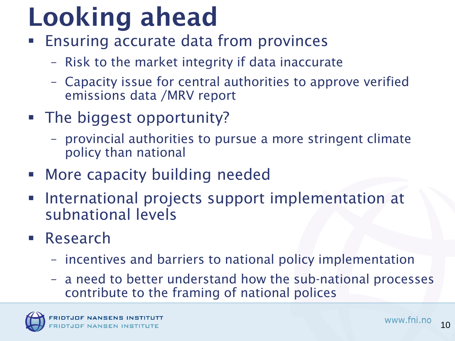## Looking ahead

- Ensuring accurate data from provinces
	- Risk to the market integrity if data inaccurate
	- Capacity issue for central authorities to approve verified emissions data /MRV report
- **The biggest opportunity?** 
	- provincial authorities to pursue a more stringent climate policy than national
- **EXECUTE:** More capacity building needed
- **International projects support implementation at** subnational levels
- **Research** 
	- incentives and barriers to national policy implementation
	- a need to better understand how the sub-national processes contribute to the framing of national polices

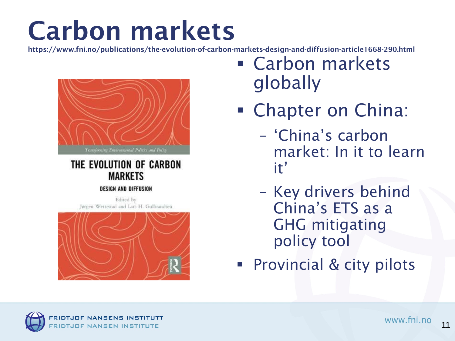## Carbon markets

https://www.fni.no/publications/the-evolution-of-carbon-markets-design-and-diffusion-article1668-290.html



#### THE EVOLUTION OF CARBON **MARKETS**

#### **DESIGN AND DIFFUSION**

Edited by Jørgen Wettestad and Lars H. Gulbrandsen



- Carbon markets globally
- **Chapter on China:** 
	- 'China's carbon market: In it to learn it'
	- Key drivers behind China's ETS as a GHG mitigating policy tool
- **Provincial & city pilots**

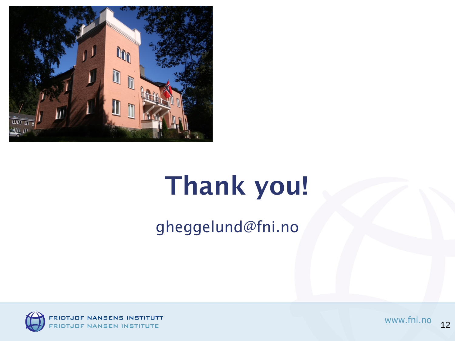

## Thank you!

gheggelund@fni.no